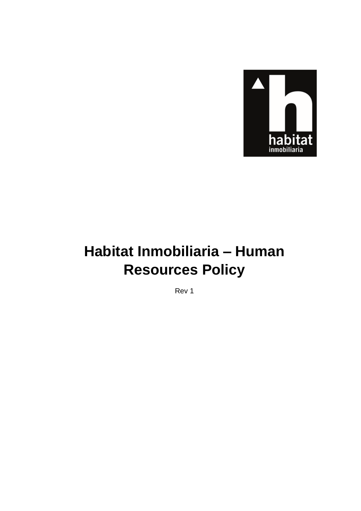

# **Habitat Inmobiliaria – Human Resources Policy**

Rev 1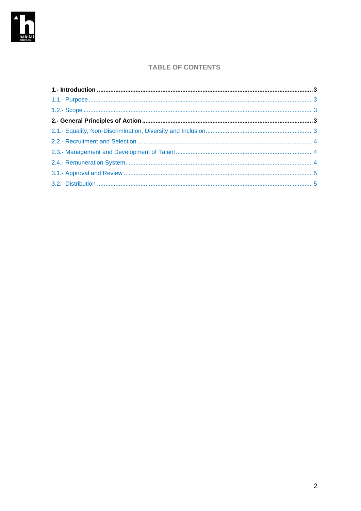

### **TABLE OF CONTENTS**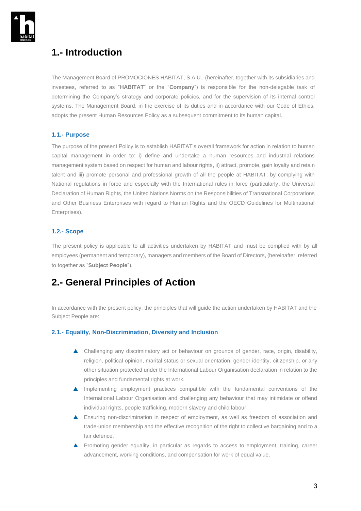

## <span id="page-2-0"></span>**1.- Introduction**

The Management Board of PROMOCIONES HABITAT, S.A.U., (hereinafter, together with its subsidiaries and investees, referred to as "**HABITAT**" or the "**Company**") is responsible for the non-delegable task of determining the Company's strategy and corporate policies, and for the supervision of its internal control systems. The Management Board, in the exercise of its duties and in accordance with our Code of Ethics, adopts the present Human Resources Policy as a subsequent commitment to its human capital.

#### <span id="page-2-1"></span>**1.1.- Purpose**

The purpose of the present Policy is to establish HABITAT's overall framework for action in relation to human capital management in order to: i) define and undertake a human resources and industrial relations management system based on respect for human and labour rights, ii) attract, promote, gain loyalty and retain talent and iii) promote personal and professional growth of all the people at HABITAT, by complying with National regulations in force and especially with the International rules in force (particularly, the Universal Declaration of Human Rights, the United Nations Norms on the Responsibilities of Transnational Corporations and Other Business Enterprises with regard to Human Rights and the OECD Guidelines for Multinational Enterprises).

#### <span id="page-2-2"></span>**1.2.- Scope**

The present policy is applicable to all activities undertaken by HABITAT and must be complied with by all employees (permanent and temporary), managers and members of the Board of Directors, (hereinafter, referred to together as "**Subject People**").

## <span id="page-2-3"></span>**2.- General Principles of Action**

In accordance with the present policy, the principles that will guide the action undertaken by HABITAT and the Subject People are:

#### <span id="page-2-4"></span>**2.1.- Equality, Non-Discrimination, Diversity and Inclusion**

- Challenging any discriminatory act or behaviour on grounds of gender, race, origin, disability, religion, political opinion, marital status or sexual orientation, gender identity, citizenship, or any other situation protected under the International Labour Organisation declaration in relation to the principles and fundamental rights at work.
- $\blacktriangle$  Implementing employment practices compatible with the fundamental conventions of the International Labour Organisation and challenging any behaviour that may intimidate or offend individual rights, people trafficking, modern slavery and child labour.
- Ensuring non-discrimination in respect of employment, as well as freedom of association and trade-union membership and the effective recognition of the right to collective bargaining and to a fair defence.
- **A** Promoting gender equality, in particular as regards to access to employment, training, career advancement, working conditions, and compensation for work of equal value.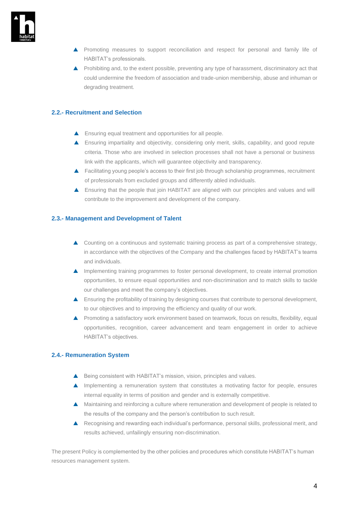

- Promoting measures to support reconciliation and respect for personal and family life of HABITAT's professionals.
- **A** Prohibiting and, to the extent possible, preventing any type of harassment, discriminatory act that could undermine the freedom of association and trade-union membership, abuse and inhuman or degrading treatment.

#### <span id="page-3-0"></span>**2.2.- Recruitment and Selection**

- **A** Ensuring equal treatment and opportunities for all people.
- Ensuring impartiality and objectivity, considering only merit, skills, capability, and good repute criteria. Those who are involved in selection processes shall not have a personal or business link with the applicants, which will guarantee objectivity and transparency.
- ▲ Facilitating young people's access to their first job through scholarship programmes, recruitment of professionals from excluded groups and differently abled individuals.
- Ensuring that the people that join HABITAT are aligned with our principles and values and will contribute to the improvement and development of the company.

#### <span id="page-3-1"></span>**2.3.- Management and Development of Talent**

- ▲ Counting on a continuous and systematic training process as part of a comprehensive strategy, in accordance with the objectives of the Company and the challenges faced by HABITAT's teams and individuals.
- Implementing training programmes to foster personal development, to create internal promotion opportunities, to ensure equal opportunities and non-discrimination and to match skills to tackle our challenges and meet the company's objectives.
- **Ensuring the profitability of training by designing courses that contribute to personal development,** to our objectives and to improving the efficiency and quality of our work.
- **A** Promoting a satisfactory work environment based on teamwork, focus on results, flexibility, equal opportunities, recognition, career advancement and team engagement in order to achieve HABITAT's objectives.

#### <span id="page-3-2"></span>**2.4.- Remuneration System**

- ▲ Being consistent with HABITAT's mission, vision, principles and values.
- Implementing a remuneration system that constitutes a motivating factor for people, ensures internal equality in terms of position and gender and is externally competitive.
- Maintaining and reinforcing a culture where remuneration and development of people is related to the results of the company and the person's contribution to such result.
- Recognising and rewarding each individual's performance, personal skills, professional merit, and results achieved, unfailingly ensuring non-discrimination.

The present Policy is complemented by the other policies and procedures which constitute HABITAT's human resources management system.